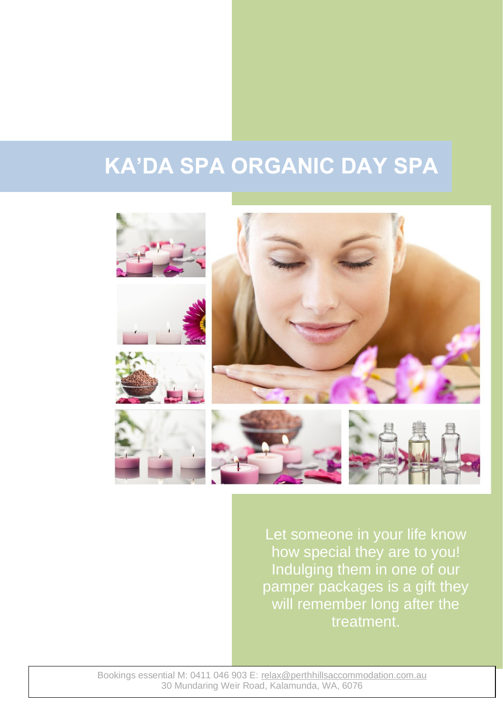# **KA'DA SPA ORGANIC DAY SPA**



Let someone in your life know how special they are to you! Indulging them in one of our pamper packages is a gift they will remember long after the treatment.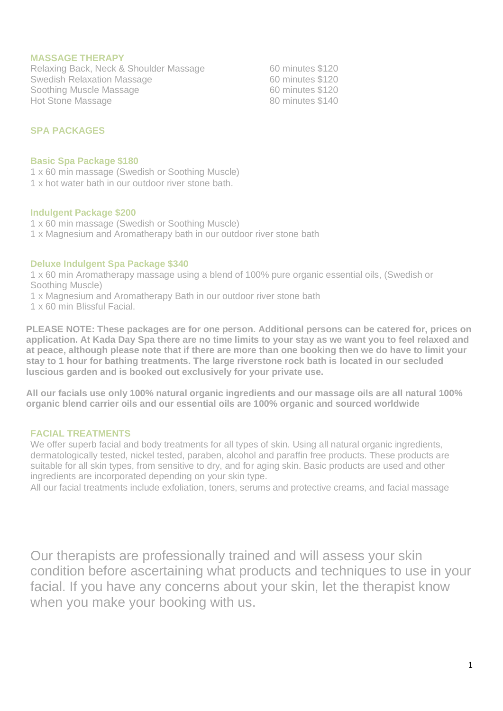#### **MASSAGE THERAPY**

Relaxing Back, Neck & Shoulder Massage 60 minutes \$120 Swedish Relaxation Massage<br>
Soothing Muscle Massage<br>
60 minutes \$120 Soothing Muscle Massage<br>
Hot Stone Massage<br>
Hot Stone Massage<br>  $\begin{array}{ccc}\n & 60 & \text{minutes} \, \$120 \\
 & 80 & \text{minutes} \, \$140\n\end{array}$ Hot Stone Massage

# **SPA PACKAGES**

#### **Basic Spa Package \$180**

1 x 60 min massage (Swedish or Soothing Muscle)

1 x hot water bath in our outdoor river stone bath.

#### **Indulgent Package \$200**

1 x 60 min massage (Swedish or Soothing Muscle)

1 x Magnesium and Aromatherapy bath in our outdoor river stone bath

# **Deluxe Indulgent Spa Package \$340**

1 x 60 min Aromatherapy massage using a blend of 100% pure organic essential oils, (Swedish or Soothing Muscle)

- 1 x Magnesium and Aromatherapy Bath in our outdoor river stone bath
- 1 x 60 min Blissful Facial.

**PLEASE NOTE: These packages are for one person. Additional persons can be catered for, prices on application. At Kada Day Spa there are no time limits to your stay as we want you to feel relaxed and at peace, although please note that if there are more than one booking then we do have to limit your stay to 1 hour for bathing treatments. The large riverstone rock bath is located in our secluded luscious garden and is booked out exclusively for your private use.** 

**All our facials use only 100% natural organic ingredients and our massage oils are all natural 100% organic blend carrier oils and our essential oils are 100% organic and sourced worldwide**

# **FACIAL TREATMENTS**

We offer superb facial and body treatments for all types of skin. Using all natural organic ingredients, dermatologically tested, nickel tested, paraben, alcohol and paraffin free products. These products are suitable for all skin types, from sensitive to dry, and for aging skin. Basic products are used and other ingredients are incorporated depending on your skin type.

All our facial treatments include exfoliation, toners, serums and protective creams, and facial massage

Our therapists are professionally trained and will assess your skin condition before ascertaining what products and techniques to use in your facial. If you have any concerns about your skin, let the therapist know when you make your booking with us.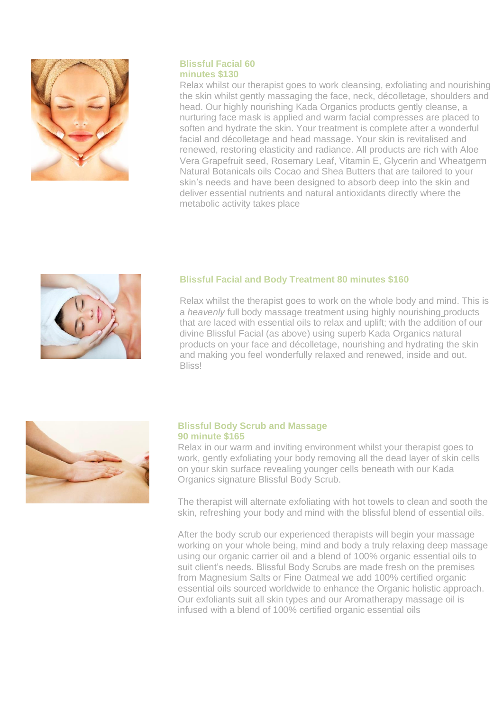

# **Blissful Facial 60 minutes \$130**

Relax whilst our therapist goes to work cleansing, exfoliating and nourishing the skin whilst gently massaging the face, neck, décolletage, shoulders and head. Our highly nourishing Kada Organics products gently cleanse, a nurturing face mask is applied and warm facial compresses are placed to soften and hydrate the skin. Your treatment is complete after a wonderful facial and décolletage and head massage. Your skin is revitalised and renewed, restoring elasticity and radiance. All products are rich with Aloe Vera Grapefruit seed, Rosemary Leaf, Vitamin E, Glycerin and Wheatgerm Natural Botanicals oils Cocao and Shea Butters that are tailored to your skin's needs and have been designed to absorb deep into the skin and deliver essential nutrients and natural antioxidants directly where the metabolic activity takes place



# **Blissful Facial and Body Treatment 80 minutes \$160**

Relax whilst the therapist goes to work on the whole body and mind. This is a *heavenly* full body massage treatment using highly nourishing products that are laced with essential oils to relax and uplift; with the addition of our divine Blissful Facial (as above) using superb Kada Organics natural products on your face and décolletage, nourishing and hydrating the skin and making you feel wonderfully relaxed and renewed, inside and out. **Bliss!** 



# **Blissful Body Scrub and Massage 90 minute \$165**

Relax in our warm and inviting environment whilst your therapist goes to work, gently exfoliating your body removing all the dead layer of skin cells on your skin surface revealing younger cells beneath with our Kada Organics signature Blissful Body Scrub.

The therapist will alternate exfoliating with hot towels to clean and sooth the skin, refreshing your body and mind with the blissful blend of essential oils.

After the body scrub our experienced therapists will begin your massage working on your whole being, mind and body a truly relaxing deep massage using our organic carrier oil and a blend of 100% organic essential oils to suit client's needs. Blissful Body Scrubs are made fresh on the premises from Magnesium Salts or Fine Oatmeal we add 100% certified organic essential oils sourced worldwide to enhance the Organic holistic approach. Our exfoliants suit all skin types and our Aromatherapy massage oil is infused with a blend of 100% certified organic essential oils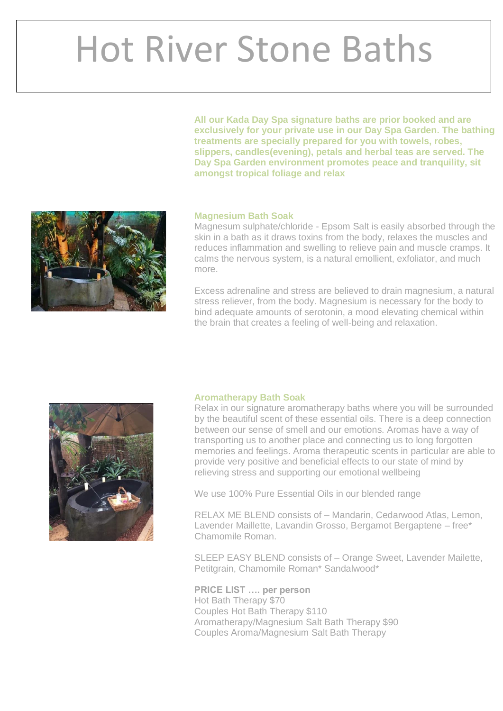# Hot River Stone Baths

**All our Kada Day Spa signature baths are prior booked and are exclusively for your private use in our Day Spa Garden. The bathing treatments are specially prepared for you with towels, robes, slippers, candles(evening), petals and herbal teas are served. The Day Spa Garden environment promotes peace and tranquility, sit amongst tropical foliage and relax** 



# **Magnesium Bath Soak**

Magnesum sulphate/chloride - Epsom Salt is easily absorbed through the skin in a bath as it draws toxins from the body, relaxes the muscles and reduces inflammation and swelling to relieve pain and muscle cramps. It calms the nervous system, is a natural emollient, exfoliator, and much more.

Excess adrenaline and stress are believed to drain magnesium, a natural stress reliever, from the body. Magnesium is necessary for the body to bind adequate amounts of serotonin, a mood elevating chemical within the brain that creates a feeling of well-being and relaxation.



# **Aromatherapy Bath Soak**

Relax in our signature aromatherapy baths where you will be surrounded by the beautiful scent of these essential oils. There is a deep connection between our sense of smell and our emotions. Aromas have a way of transporting us to another place and connecting us to long forgotten memories and feelings. Aroma therapeutic scents in particular are able to provide very positive and beneficial effects to our state of mind by relieving stress and supporting our emotional wellbeing

We use 100% Pure Essential Oils in our blended range

RELAX ME BLEND consists of – Mandarin, Cedarwood Atlas, Lemon, Lavender Maillette, Lavandin Grosso, Bergamot Bergaptene – free\* Chamomile Roman.

SLEEP EASY BLEND consists of – Orange Sweet, Lavender Mailette, Petitgrain, Chamomile Roman\* Sandalwood\*

**PRICE LIST …. per person**  Hot Bath Therapy \$70 Couples Hot Bath Therapy \$110 Aromatherapy/Magnesium Salt Bath Therapy \$90 Couples Aroma/Magnesium Salt Bath Therapy